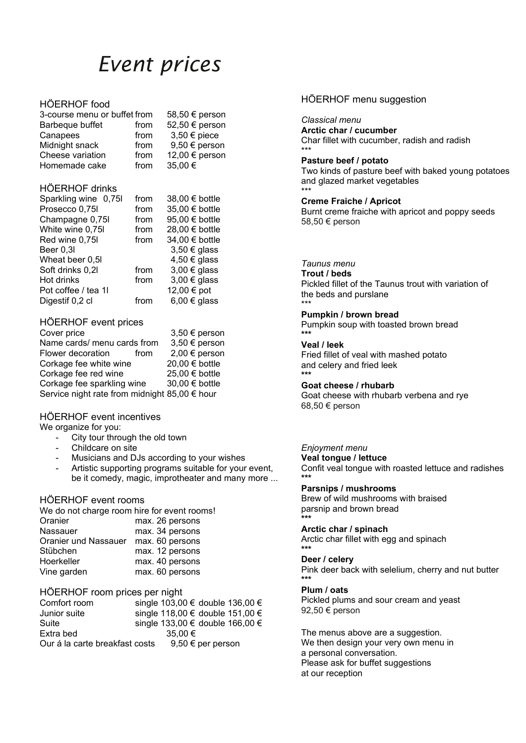# *Event prices*

#### HÖERHOF food

| 3-course menu or buffet from | 58,50 € person |                  |
|------------------------------|----------------|------------------|
| Barbeque buffet              | from           | 52,50 € person   |
| Canapees                     | from           | $3,50 \in$ piece |
| Midnight snack               | from           | 9,50 € person    |
| Cheese variation             | from           | 12,00 € person   |
| Homemade cake                | from           | 35,00€           |
| <b>HÖERHOF drinks</b>        |                |                  |
| Sparkling wine 0,75l         | from           | 38,00 € bottle   |
| Prosecco 0,75l               | from           | 35,00 € bottle   |
| Champagne 0,75I              | from           | 95,00 € bottle   |
| White wine 0,75I             | from           | 28,00 € bottle   |
| Red wine 0,75I               | from           | 34,00 € bottle   |
| Beer 0,3l                    |                | $3,50 \in$ glass |
| Wheat beer 0,5I              |                | 4,50 € glass     |
| Soft drinks 0,2l             | from           | $3,00 \in$ glass |
| Hot drinks                   | from           | $3,00 \in$ glass |
| Pot coffee / tea 1l          |                | 12,00 € pot      |
| Digestif 0,2 cl              | from           | 6,00 € glass     |
|                              |                |                  |

### HÖERHOF event prices

| Cover price                                   |      | 3,50 € person  |
|-----------------------------------------------|------|----------------|
| Name cards/ menu cards from                   |      | 3,50 € person  |
| Flower decoration                             | from | 2,00 € person  |
| Corkage fee white wine                        |      | 20,00 € bottle |
| Corkage fee red wine                          |      | 25,00 € bottle |
| Corkage fee sparkling wine                    |      | 30,00 € bottle |
| Service night rate from midnight 85,00 € hour |      |                |
|                                               |      |                |

#### HÖERHOF event incentives

We organize for you:

- City tour through the old town
- Childcare on site
- Musicians and DJs according to your wishes
- Artistic supporting programs suitable for your event, be it comedy, magic, improtheater and many more ...

#### HÖERHOF event rooms

| We do not charge room hire for event rooms! |                 |
|---------------------------------------------|-----------------|
| Oranier                                     | max. 26 persons |
| Nassauer                                    | max. 34 persons |
| Oranier und Nassauer                        | max. 60 persons |
| Stübchen                                    | max. 12 persons |
| Hoerkeller                                  | max. 40 persons |
| Vine garden                                 | max. 60 persons |

#### HÖERHOF room prices per night

| Comfort room                   |             |                       | single 103,00 € double 136,00 € |
|--------------------------------|-------------|-----------------------|---------------------------------|
| Junior suite                   |             |                       | single 118,00 € double 151,00 € |
| Suite                          |             |                       | single 133,00 € double 166,00 € |
| Extra bed                      | $35.00 \in$ |                       |                                 |
| Our á la carte breakfast costs |             | $9,50 \in$ per person |                                 |

#### HÖERHOF menu suggestion

*Classical menu*

**Arctic char / cucumber** Char fillet with cucumber, radish and radish \*\*\*

#### **Pasture beef / potato**

Two kinds of pasture beef with baked young potatoes and glazed market vegetables \*\*\*

#### **Creme Fraiche / Apricot**

Burnt creme fraiche with apricot and poppy seeds 58,50 € person

#### *Taunus menu*

**Trout / beds**

Pickled fillet of the Taunus trout with variation of the beds and purslane \*\*\*

#### **Pumpkin / brown bread**

Pumpkin soup with toasted brown bread **\*\*\***

#### **Veal / leek**

Fried fillet of veal with mashed potato and celery and fried leek **\*\*\***

#### **Goat cheese / rhubarb**

Goat cheese with rhubarb verbena and rye 68,50 € person

#### *Enjoyment menu*

**Veal tongue / lettuce**

Confit veal tongue with roasted lettuce and radishes **\*\*\***

## **Parsnips / mushrooms**

Brew of wild mushrooms with braised parsnip and brown bread **\*\*\***

#### **Arctic char / spinach**

Arctic char fillet with egg and spinach **\*\*\***

#### **Deer / celery**

Pink deer back with selelium, cherry and nut butter **\*\*\***

#### **Plum / oats**

Pickled plums and sour cream and yeast 92,50 € person

The menus above are a suggestion. We then design your very own menu in a personal conversation. Please ask for buffet suggestions at our reception